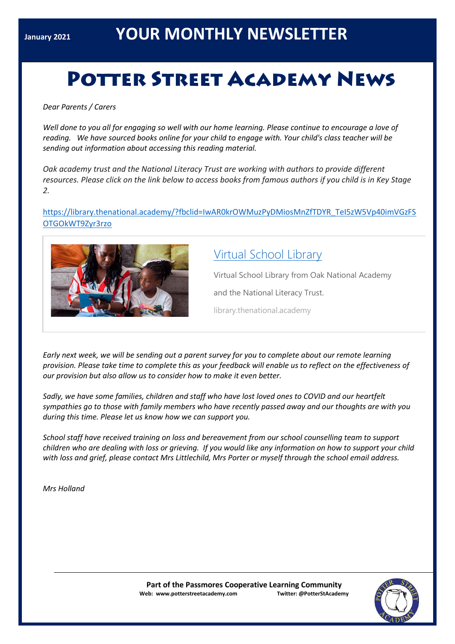# **POTTER STREET ACADEMY NEWS**

*Dear Parents / Carers*

*Well done to you all for engaging so well with our home learning. Please continue to encourage a love of reading. We have sourced books online for your child to engage with. Your child's class teacher will be sending out information about accessing this reading material.*

*Oak academy trust and the National Literacy Trust are working with authors to provide different resources. Please click on the link below to access books from famous authors if you child is in Key Stage 2.*

[https://library.thenational.academy/?fbclid=IwAR0krOWMuzPyDMiosMnZfTDYR\\_TeI5zW5Vp40imVGzFS](about:blank) [OTGOkWT9Zyr3rzo](about:blank)



# [Virtual School Library](about:blank)

Virtual School Library from Oak National Academy

and the National Literacy Trust.

library.thenational.academy

*Early next week, we will be sending out a parent survey for you to complete about our remote learning provision. Please take time to complete this as your feedback will enable us to reflect on the effectiveness of our provision but also allow us to consider how to make it even better.*

*Sadly, we have some families, children and staff who have lost loved ones to COVID and our heartfelt sympathies go to those with family members who have recently passed away and our thoughts are with you during this time. Please let us know how we can support you.*

*School staff have received training on loss and bereavement from our school counselling team to support children who are dealing with loss or grieving. If you would like any information on how to support your child with loss and grief, please contact Mrs Littlechild, Mrs Porter or myself through the school email address.*

*Mrs Holland*

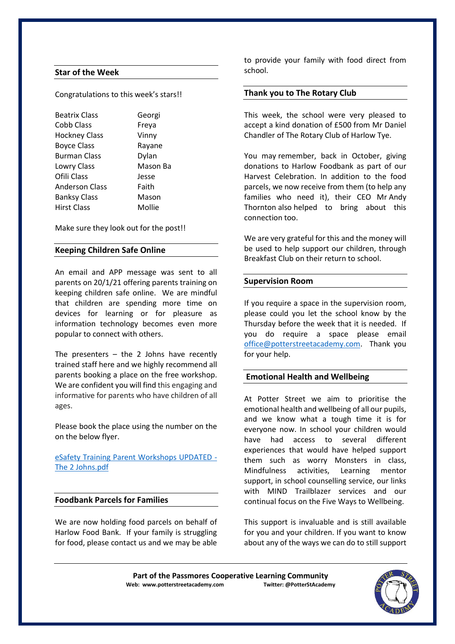## **Star of the Week**

Congratulations to this week's stars!!

| Beatrix Class        | Georgi   |
|----------------------|----------|
| Cobb Class           | Freya    |
| <b>Hockney Class</b> | Vinny    |
| <b>Boyce Class</b>   | Rayane   |
| <b>Burman Class</b>  | Dylan    |
| Lowry Class          | Mason Ba |
| Ofili Class          | Jesse    |
| Anderson Class       | Faith    |
| <b>Banksy Class</b>  | Mason    |
| <b>Hirst Class</b>   | Mollie   |
|                      |          |

Make sure they look out for the post!!

#### **Keeping Children Safe Online**

An email and APP message was sent to all parents on 20/1/21 offering parents training on keeping children safe online. We are mindful that children are spending more time on devices for learning or for pleasure as information technology becomes even more popular to connect with others.

The presenters  $-$  the 2 Johns have recently trained staff here and we highly recommend all parents booking a place on the free workshop. We are confident you will find this engaging and informative for parents who have children of all ages.

Please book the place using the number on the on the below flyer.

[eSafety Training Parent Workshops UPDATED -](about:blank) [The 2 Johns.pdf](about:blank)

#### **Foodbank Parcels for Families**

We are now holding food parcels on behalf of Harlow Food Bank. If your family is struggling for food, please contact us and we may be able

to provide your family with food direct from school.

#### **Thank you to The Rotary Club**

This week, the school were very pleased to accept a kind donation of £500 from Mr Daniel Chandler of The Rotary Club of Harlow Tye.

You may remember, back in October, giving donations to Harlow Foodbank as part of our Harvest Celebration. In addition to the food parcels, we now receive from them (to help any families who need it), their CEO Mr Andy Thornton also helped to bring about this connection too.

We are very grateful for this and the money will be used to help support our children, through Breakfast Club on their return to school.

#### **Supervision Room**

If you require a space in the supervision room, please could you let the school know by the Thursday before the week that it is needed. If you do require a space please email [office@potterstreetacademy.com.](about:blank) Thank you for your help.

#### **Emotional Health and Wellbeing**

At Potter Street we aim to prioritise the emotional health and wellbeing of all our pupils, and we know what a tough time it is for everyone now. In school your children would have had access to several different experiences that would have helped support them such as worry Monsters in class, Mindfulness activities, Learning mentor support, in school counselling service, our links with MIND Trailblazer services and our continual focus on the Five Ways to Wellbeing.

This support is invaluable and is still available for you and your children. If you want to know about any of the ways we can do to still support

Part of the Passmores Cooperative Learning Community<br>eb: www.potterstreetacademy.com **Intiter:** @PotterStAcademy **Web: www.potterstreetacademy.com**